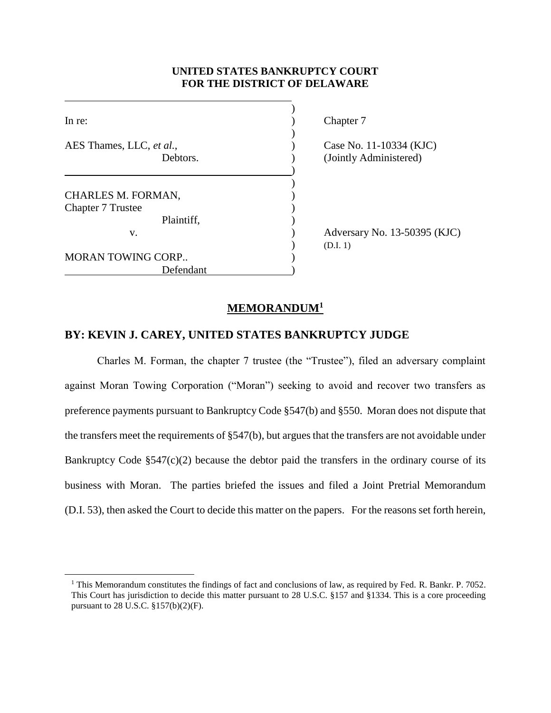## **UNITED STATES BANKRUPTCY COURT FOR THE DISTRICT OF DELAWARE**

| In re:                   |  |
|--------------------------|--|
|                          |  |
| AES Thames, LLC, et al., |  |
| Debtors.                 |  |
|                          |  |
|                          |  |
| CHARLES M. FORMAN,       |  |
| <b>Chapter 7 Trustee</b> |  |
| Plaintiff,               |  |
| v.                       |  |
|                          |  |
| MORAN TOWING CORP        |  |
| Defendant                |  |

 $\overline{a}$ 

Chapter 7

Case No. 11-10334 (KJC) (Jointly Administered)

Adversary No. 13-50395 (KJC) ) (D.I. 1)

### **MEMORANDUM<sup>1</sup>**

# **BY: KEVIN J. CAREY, UNITED STATES BANKRUPTCY JUDGE**

Charles M. Forman, the chapter 7 trustee (the "Trustee"), filed an adversary complaint against Moran Towing Corporation ("Moran") seeking to avoid and recover two transfers as preference payments pursuant to Bankruptcy Code §547(b) and §550. Moran does not dispute that the transfers meet the requirements of §547(b), but argues that the transfers are not avoidable under Bankruptcy Code  $\S 547(c)(2)$  because the debtor paid the transfers in the ordinary course of its business with Moran. The parties briefed the issues and filed a Joint Pretrial Memorandum (D.I. 53), then asked the Court to decide this matter on the papers. For the reasons set forth herein,

<sup>&</sup>lt;sup>1</sup> This Memorandum constitutes the findings of fact and conclusions of law, as required by Fed. R. Bankr. P. 7052. This Court has jurisdiction to decide this matter pursuant to 28 U.S.C. §157 and §1334. This is a core proceeding pursuant to 28 U.S.C. §157(b)(2)(F).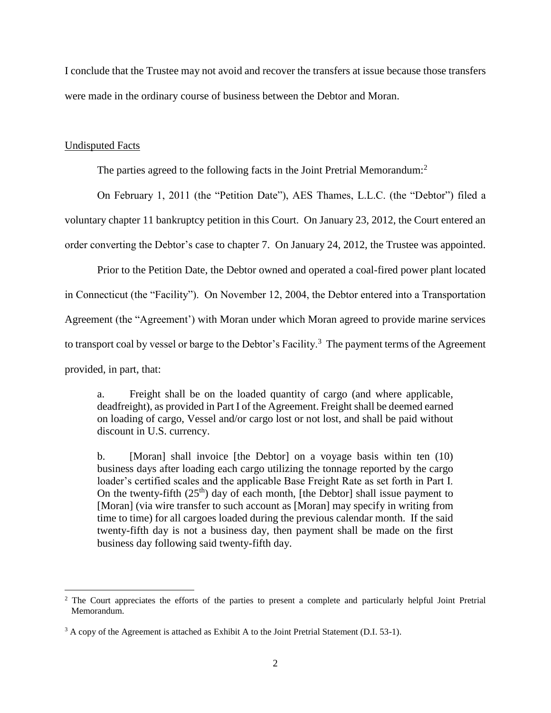I conclude that the Trustee may not avoid and recover the transfers at issue because those transfers were made in the ordinary course of business between the Debtor and Moran.

#### Undisputed Facts

The parties agreed to the following facts in the Joint Pretrial Memorandum:<sup>2</sup>

On February 1, 2011 (the "Petition Date"), AES Thames, L.L.C. (the "Debtor") filed a

voluntary chapter 11 bankruptcy petition in this Court. On January 23, 2012, the Court entered an

order converting the Debtor's case to chapter 7. On January 24, 2012, the Trustee was appointed.

Prior to the Petition Date, the Debtor owned and operated a coal-fired power plant located

in Connecticut (the "Facility"). On November 12, 2004, the Debtor entered into a Transportation

Agreement (the "Agreement') with Moran under which Moran agreed to provide marine services

to transport coal by vessel or barge to the Debtor's Facility.<sup>3</sup> The payment terms of the Agreement

provided, in part, that:

 $\overline{a}$ 

a. Freight shall be on the loaded quantity of cargo (and where applicable, deadfreight), as provided in Part I of the Agreement. Freight shall be deemed earned on loading of cargo, Vessel and/or cargo lost or not lost, and shall be paid without discount in U.S. currency.

b. [Moran] shall invoice [the Debtor] on a voyage basis within ten (10) business days after loading each cargo utilizing the tonnage reported by the cargo loader's certified scales and the applicable Base Freight Rate as set forth in Part I. On the twenty-fifth  $(25<sup>th</sup>)$  day of each month, [the Debtor] shall issue payment to [Moran] (via wire transfer to such account as [Moran] may specify in writing from time to time) for all cargoes loaded during the previous calendar month. If the said twenty-fifth day is not a business day, then payment shall be made on the first business day following said twenty-fifth day.

<sup>&</sup>lt;sup>2</sup> The Court appreciates the efforts of the parties to present a complete and particularly helpful Joint Pretrial Memorandum.

<sup>&</sup>lt;sup>3</sup> A copy of the Agreement is attached as Exhibit A to the Joint Pretrial Statement (D.I. 53-1).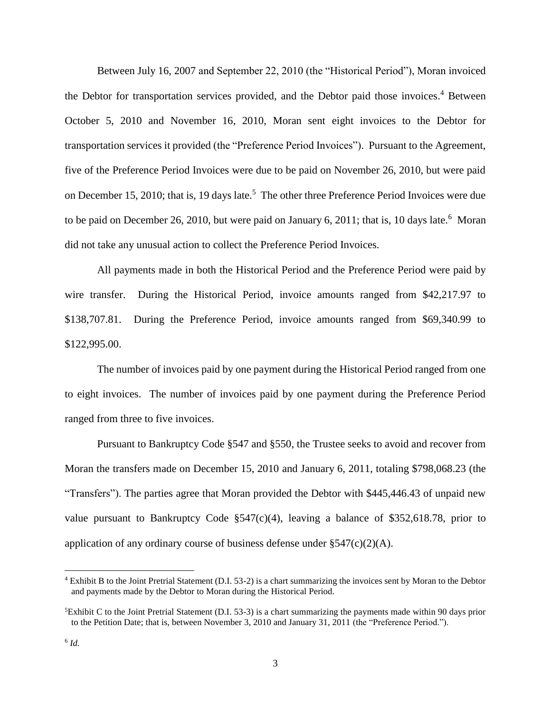Between July 16, 2007 and September 22, 2010 (the "Historical Period"), Moran invoiced the Debtor for transportation services provided, and the Debtor paid those invoices. <sup>4</sup> Between October 5, 2010 and November 16, 2010, Moran sent eight invoices to the Debtor for transportation services it provided (the "Preference Period Invoices"). Pursuant to the Agreement, five of the Preference Period Invoices were due to be paid on November 26, 2010, but were paid on December 15, 2010; that is, 19 days late.<sup>5</sup> The other three Preference Period Invoices were due to be paid on December 26, 2010, but were paid on January 6, 2011; that is, 10 days late.<sup>6</sup> Moran did not take any unusual action to collect the Preference Period Invoices.

All payments made in both the Historical Period and the Preference Period were paid by wire transfer. During the Historical Period, invoice amounts ranged from \$42,217.97 to \$138,707.81. During the Preference Period, invoice amounts ranged from \$69,340.99 to \$122,995.00.

The number of invoices paid by one payment during the Historical Period ranged from one to eight invoices. The number of invoices paid by one payment during the Preference Period ranged from three to five invoices.

Pursuant to Bankruptcy Code §547 and §550, the Trustee seeks to avoid and recover from Moran the transfers made on December 15, 2010 and January 6, 2011, totaling \$798,068.23 (the "Transfers"). The parties agree that Moran provided the Debtor with \$445,446.43 of unpaid new value pursuant to Bankruptcy Code §547(c)(4), leaving a balance of \$352,618.78, prior to application of any ordinary course of business defense under  $\S$ 547(c)(2)(A).

<sup>4</sup> Exhibit B to the Joint Pretrial Statement (D.I. 53-2) is a chart summarizing the invoices sent by Moran to the Debtor and payments made by the Debtor to Moran during the Historical Period.

<sup>5</sup>Exhibit C to the Joint Pretrial Statement (D.I. 53-3) is a chart summarizing the payments made within 90 days prior to the Petition Date; that is, between November 3, 2010 and January 31, 2011 (the "Preference Period.").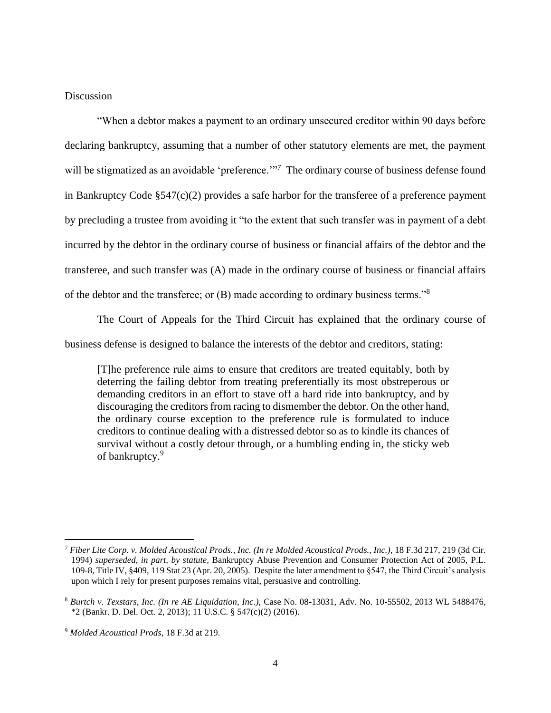### Discussion

"When a debtor makes a payment to an ordinary unsecured creditor within 90 days before declaring bankruptcy, assuming that a number of other statutory elements are met, the payment will be stigmatized as an avoidable 'preference.'"<sup>7</sup> The ordinary course of business defense found in Bankruptcy Code §547(c)(2) provides a safe harbor for the transferee of a preference payment by precluding a trustee from avoiding it "to the extent that such transfer was in payment of a debt incurred by the debtor in the ordinary course of business or financial affairs of the debtor and the transferee, and such transfer was (A) made in the ordinary course of business or financial affairs of the debtor and the transferee; or (B) made according to ordinary business terms."<sup>8</sup>

The Court of Appeals for the Third Circuit has explained that the ordinary course of business defense is designed to balance the interests of the debtor and creditors, stating:

[T]he preference rule aims to ensure that creditors are treated equitably, both by deterring the failing debtor from treating preferentially its most obstreperous or demanding creditors in an effort to stave off a hard ride into bankruptcy, and by discouraging the creditors from racing to dismember the debtor. On the other hand, the ordinary course exception to the preference rule is formulated to induce creditors to continue dealing with a distressed debtor so as to kindle its chances of survival without a costly detour through, or a humbling ending in, the sticky web of bankruptcy.<sup>9</sup>

<sup>7</sup> *Fiber Lite Corp. v. Molded Acoustical Prods., Inc. (In re Molded Acoustical Prods., Inc.),* 18 F.3d 217, 219 (3d Cir. 1994) *superseded, in part, by statute,* Bankruptcy Abuse Prevention and Consumer Protection Act of 2005, P.L. 109-8, Title IV, §409, 119 Stat 23 (Apr. 20, 2005). Despite the later amendment to §547, the Third Circuit's analysis upon which I rely for present purposes remains vital, persuasive and controlling.

<sup>8</sup> *Burtch v. Texstars, Inc. (In re AE Liquidation, Inc.),* Case No. 08-13031, Adv. No. 10-55502, 2013 WL 5488476, \*2 (Bankr. D. Del. Oct. 2, 2013); 11 U.S.C. § 547(c)(2) (2016).

<sup>9</sup> *Molded Acoustical Prods*, 18 F.3d at 219.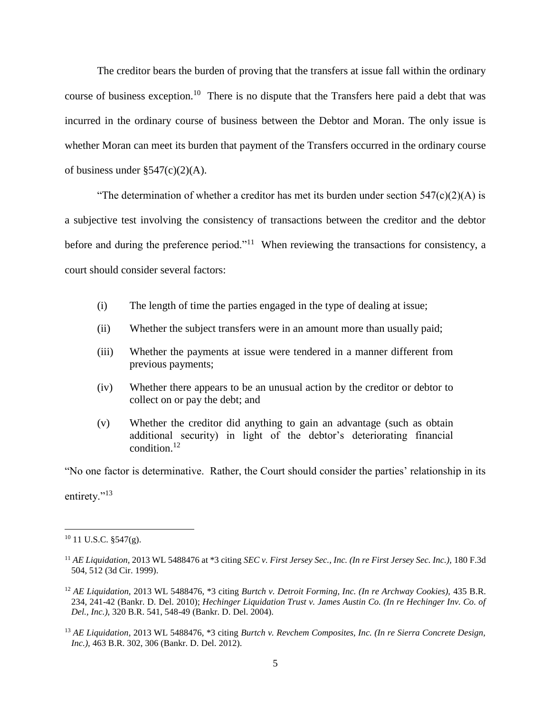The creditor bears the burden of proving that the transfers at issue fall within the ordinary course of business exception.<sup>10</sup> There is no dispute that the Transfers here paid a debt that was incurred in the ordinary course of business between the Debtor and Moran. The only issue is whether Moran can meet its burden that payment of the Transfers occurred in the ordinary course of business under  $\S 547(c)(2)$ (A).

"The determination of whether a creditor has met its burden under section  $547(c)(2)(A)$  is a subjective test involving the consistency of transactions between the creditor and the debtor before and during the preference period."<sup>11</sup> When reviewing the transactions for consistency, a court should consider several factors:

- (i) The length of time the parties engaged in the type of dealing at issue;
- (ii) Whether the subject transfers were in an amount more than usually paid;
- (iii) Whether the payments at issue were tendered in a manner different from previous payments;
- (iv) Whether there appears to be an unusual action by the creditor or debtor to collect on or pay the debt; and
- (v) Whether the creditor did anything to gain an advantage (such as obtain additional security) in light of the debtor's deteriorating financial condition.<sup>12</sup>

"No one factor is determinative. Rather, the Court should consider the parties' relationship in its

entirety."<sup>13</sup>

 $10$  11 U.S.C. §547(g).

<sup>11</sup> *AE Liquidation,* 2013 WL 5488476 at \*3 citing *SEC v. First Jersey Sec., Inc. (In re First Jersey Sec. Inc.),* 180 F.3d 504, 512 (3d Cir. 1999).

<sup>12</sup> *AE Liquidation,* 2013 WL 5488476, \*3 citing *Burtch v. Detroit Forming, Inc. (In re Archway Cookies),* 435 B.R. 234, 241-42 (Bankr. D. Del. 2010); *Hechinger Liquidation Trust v. James Austin Co. (In re Hechinger Inv. Co. of Del., Inc.),* 320 B.R. 541, 548-49 (Bankr. D. Del. 2004).

<sup>13</sup> *AE Liquidation,* 2013 WL 5488476, \*3 citing *Burtch v. Revchem Composites, Inc. (In re Sierra Concrete Design, Inc.),* 463 B.R. 302, 306 (Bankr. D. Del. 2012).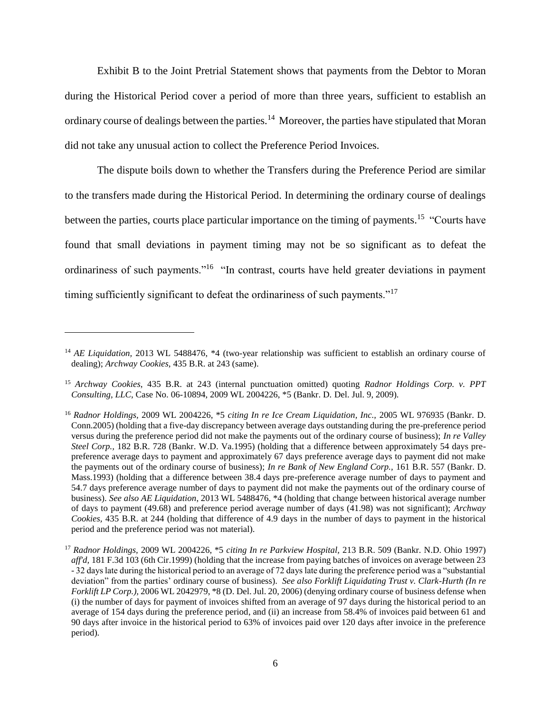Exhibit B to the Joint Pretrial Statement shows that payments from the Debtor to Moran during the Historical Period cover a period of more than three years, sufficient to establish an ordinary course of dealings between the parties.<sup>14</sup> Moreover, the parties have stipulated that Moran did not take any unusual action to collect the Preference Period Invoices.

The dispute boils down to whether the Transfers during the Preference Period are similar to the transfers made during the Historical Period. In determining the ordinary course of dealings between the parties, courts place particular importance on the timing of payments.<sup>15</sup> "Courts have found that small deviations in payment timing may not be so significant as to defeat the ordinariness of such payments."<sup>16</sup> "In contrast, courts have held greater deviations in payment timing sufficiently significant to defeat the ordinariness of such payments."<sup>17</sup>

<sup>&</sup>lt;sup>14</sup> *AE Liquidation*, 2013 WL 5488476, \*4 (two-year relationship was sufficient to establish an ordinary course of dealing); *Archway Cookies,* 435 B.R. at 243 (same).

<sup>15</sup> *Archway Cookies*, 435 B.R. at 243 (internal punctuation omitted) quoting *Radnor Holdings Corp. v. PPT Consulting, LLC*, Case No. 06-10894, 2009 WL 2004226, \*5 (Bankr. D. Del. Jul. 9, 2009).

<sup>16</sup> *Radnor Holdings,* 2009 WL 2004226, \*5 *citing In re Ice Cream Liquidation, Inc.,* 2005 WL 976935 (Bankr. D. Conn.2005) (holding that a five-day discrepancy between average days outstanding during the pre-preference period versus during the preference period did not make the payments out of the ordinary course of business); *In re Valley Steel Corp.,* 182 B.R. 728 (Bankr. W.D. Va.1995) (holding that a difference between approximately 54 days prepreference average days to payment and approximately 67 days preference average days to payment did not make the payments out of the ordinary course of business); *In re Bank of New England Corp.,* 161 B.R. 557 (Bankr. D. Mass.1993) (holding that a difference between 38.4 days pre-preference average number of days to payment and 54.7 days preference average number of days to payment did not make the payments out of the ordinary course of business). *See also AE Liquidation*, 2013 WL 5488476, \*4 (holding that change between historical average number of days to payment (49.68) and preference period average number of days (41.98) was not significant); *Archway Cookies,* 435 B.R. at 244 (holding that difference of 4.9 days in the number of days to payment in the historical period and the preference period was not material).

<sup>17</sup> *Radnor Holdings,* 2009 WL 2004226, \*5 *citing In re Parkview Hospital,* 213 B.R. 509 (Bankr. N.D. Ohio 1997) *aff'd,* 181 F.3d 103 (6th Cir.1999) (holding that the increase from paying batches of invoices on average between 23 - 32 days late during the historical period to an average of 72 days late during the preference period was a "substantial deviation" from the parties' ordinary course of business). *See also Forklift Liquidating Trust v. Clark-Hurth (In re Forklift LP Corp.),* 2006 WL 2042979, \*8 (D. Del. Jul. 20, 2006) (denying ordinary course of business defense when (i) the number of days for payment of invoices shifted from an average of 97 days during the historical period to an average of 154 days during the preference period, and (ii) an increase from 58.4% of invoices paid between 61 and 90 days after invoice in the historical period to 63% of invoices paid over 120 days after invoice in the preference period).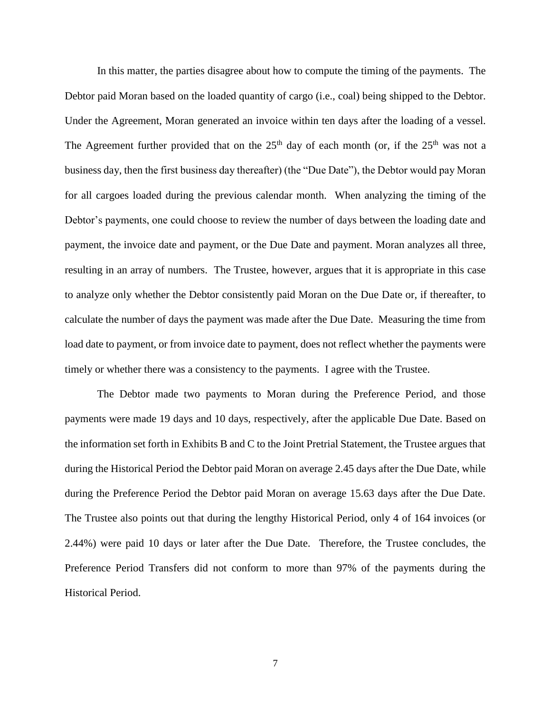In this matter, the parties disagree about how to compute the timing of the payments. The Debtor paid Moran based on the loaded quantity of cargo (i.e., coal) being shipped to the Debtor. Under the Agreement, Moran generated an invoice within ten days after the loading of a vessel. The Agreement further provided that on the  $25<sup>th</sup>$  day of each month (or, if the  $25<sup>th</sup>$  was not a business day, then the first business day thereafter) (the "Due Date"), the Debtor would pay Moran for all cargoes loaded during the previous calendar month. When analyzing the timing of the Debtor's payments, one could choose to review the number of days between the loading date and payment, the invoice date and payment, or the Due Date and payment. Moran analyzes all three, resulting in an array of numbers. The Trustee, however, argues that it is appropriate in this case to analyze only whether the Debtor consistently paid Moran on the Due Date or, if thereafter, to calculate the number of days the payment was made after the Due Date. Measuring the time from load date to payment, or from invoice date to payment, does not reflect whether the payments were timely or whether there was a consistency to the payments. I agree with the Trustee.

The Debtor made two payments to Moran during the Preference Period, and those payments were made 19 days and 10 days, respectively, after the applicable Due Date. Based on the information set forth in Exhibits B and C to the Joint Pretrial Statement, the Trustee argues that during the Historical Period the Debtor paid Moran on average 2.45 days after the Due Date, while during the Preference Period the Debtor paid Moran on average 15.63 days after the Due Date. The Trustee also points out that during the lengthy Historical Period, only 4 of 164 invoices (or 2.44%) were paid 10 days or later after the Due Date. Therefore, the Trustee concludes, the Preference Period Transfers did not conform to more than 97% of the payments during the Historical Period.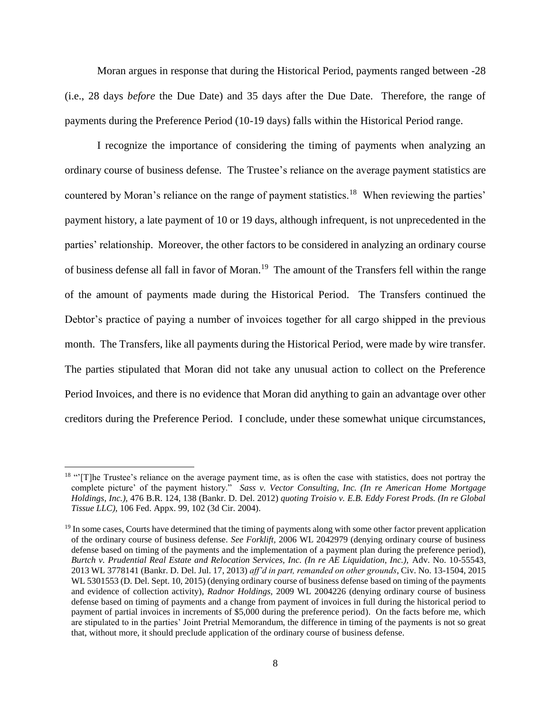Moran argues in response that during the Historical Period, payments ranged between -28 (i.e., 28 days *before* the Due Date) and 35 days after the Due Date. Therefore, the range of payments during the Preference Period (10-19 days) falls within the Historical Period range.

I recognize the importance of considering the timing of payments when analyzing an ordinary course of business defense. The Trustee's reliance on the average payment statistics are countered by Moran's reliance on the range of payment statistics.<sup>18</sup> When reviewing the parties' payment history, a late payment of 10 or 19 days, although infrequent, is not unprecedented in the parties' relationship. Moreover, the other factors to be considered in analyzing an ordinary course of business defense all fall in favor of Moran.<sup>19</sup> The amount of the Transfers fell within the range of the amount of payments made during the Historical Period. The Transfers continued the Debtor's practice of paying a number of invoices together for all cargo shipped in the previous month. The Transfers, like all payments during the Historical Period, were made by wire transfer. The parties stipulated that Moran did not take any unusual action to collect on the Preference Period Invoices, and there is no evidence that Moran did anything to gain an advantage over other creditors during the Preference Period. I conclude, under these somewhat unique circumstances,

<sup>&</sup>lt;sup>18</sup> "The Trustee's reliance on the average payment time, as is often the case with statistics, does not portray the complete picture' of the payment history." *Sass v. Vector Consulting, Inc. (In re American Home Mortgage Holdings, Inc.),* 476 B.R. 124, 138 (Bankr. D. Del. 2012) *quoting Troisio v. E.B. Eddy Forest Prods. (In re Global Tissue LLC),* 106 Fed. Appx. 99, 102 (3d Cir. 2004).

<sup>&</sup>lt;sup>19</sup> In some cases, Courts have determined that the timing of payments along with some other factor prevent application of the ordinary course of business defense. *See Forklift,* 2006 WL 2042979 (denying ordinary course of business defense based on timing of the payments and the implementation of a payment plan during the preference period), *Burtch v. Prudential Real Estate and Relocation Services, Inc. (In re AE Liquidation, Inc.),* Adv. No. 10-55543, 2013 WL 3778141 (Bankr. D. Del. Jul. 17, 2013) *aff'd in part, remanded on other grounds*, Civ. No. 13-1504, 2015 WL 5301553 (D. Del. Sept. 10, 2015) (denying ordinary course of business defense based on timing of the payments and evidence of collection activity), *Radnor Holdings,* 2009 WL 2004226 (denying ordinary course of business defense based on timing of payments and a change from payment of invoices in full during the historical period to payment of partial invoices in increments of \$5,000 during the preference period). On the facts before me, which are stipulated to in the parties' Joint Pretrial Memorandum, the difference in timing of the payments is not so great that, without more, it should preclude application of the ordinary course of business defense.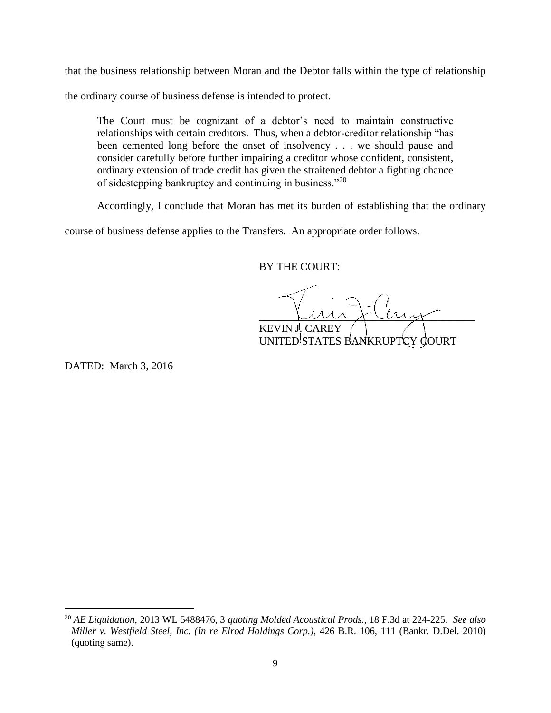that the business relationship between Moran and the Debtor falls within the type of relationship

the ordinary course of business defense is intended to protect.

The Court must be cognizant of a debtor's need to maintain constructive relationships with certain creditors. Thus, when a debtor-creditor relationship "has been cemented long before the onset of insolvency . . . we should pause and consider carefully before further impairing a creditor whose confident, consistent, ordinary extension of trade credit has given the straitened debtor a fighting chance of sidestepping bankruptcy and continuing in business."<sup>20</sup>

Accordingly, I conclude that Moran has met its burden of establishing that the ordinary

course of business defense applies to the Transfers. An appropriate order follows.

BY THE COURT:

 $\mu$ KEVIN J. CAREY

UNITED STATES BANKRUPTCY COURT

DATED: March 3, 2016

<sup>20</sup> *AE Liquidation,* 2013 WL 5488476, 3 *quoting Molded Acoustical Prods.,* 18 F.3d at 224-225. *See also Miller v. Westfield Steel, Inc. (In re Elrod Holdings Corp.),* 426 B.R. 106, 111 (Bankr. D.Del. 2010) (quoting same).